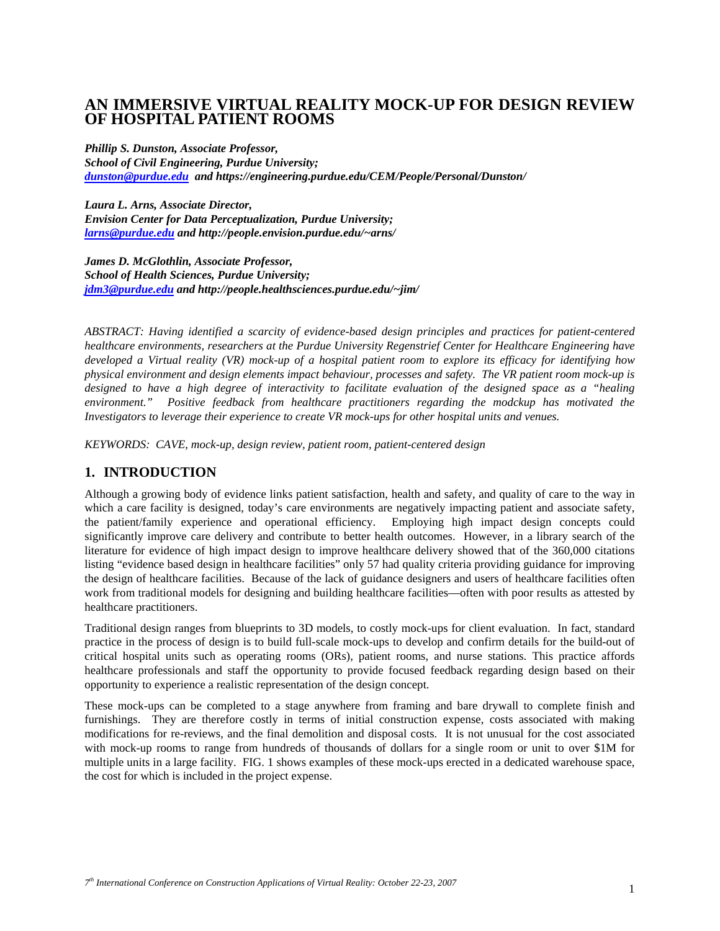# **AN IMMERSIVE VIRTUAL REALITY MOCK-UP FOR DESIGN REVIEW OF HOSPITAL PATIENT ROOMS**

*Phillip S. Dunston, Associate Professor, School of Civil Engineering, Purdue University; dunston@purdue.edu and https://engineering.purdue.edu/CEM/People/Personal/Dunston/* 

*Laura L. Arns, Associate Director, Envision Center for Data Perceptualization, Purdue University; larns@purdue.edu and http://people.envision.purdue.edu/~arns/* 

*James D. McGlothlin, Associate Professor, School of Health Sciences, Purdue University; jdm3@purdue.edu and http://people.healthsciences.purdue.edu/~jim/* 

*ABSTRACT: Having identified a scarcity of evidence-based design principles and practices for patient-centered healthcare environments, researchers at the Purdue University Regenstrief Center for Healthcare Engineering have developed a Virtual reality (VR) mock-up of a hospital patient room to explore its efficacy for identifying how physical environment and design elements impact behaviour, processes and safety. The VR patient room mock-up is designed to have a high degree of interactivity to facilitate evaluation of the designed space as a "healing environment." Positive feedback from healthcare practitioners regarding the modckup has motivated the Investigators to leverage their experience to create VR mock-ups for other hospital units and venues.* 

*KEYWORDS: CAVE, mock-up, design review, patient room, patient-centered design* 

### **1. INTRODUCTION**

Although a growing body of evidence links patient satisfaction, health and safety, and quality of care to the way in which a care facility is designed, today's care environments are negatively impacting patient and associate safety, the patient/family experience and operational efficiency. Employing high impact design concepts could significantly improve care delivery and contribute to better health outcomes. However, in a library search of the literature for evidence of high impact design to improve healthcare delivery showed that of the 360,000 citations listing "evidence based design in healthcare facilities" only 57 had quality criteria providing guidance for improving the design of healthcare facilities. Because of the lack of guidance designers and users of healthcare facilities often work from traditional models for designing and building healthcare facilities—often with poor results as attested by healthcare practitioners.

Traditional design ranges from blueprints to 3D models, to costly mock-ups for client evaluation. In fact, standard practice in the process of design is to build full-scale mock-ups to develop and confirm details for the build-out of critical hospital units such as operating rooms (ORs), patient rooms, and nurse stations. This practice affords healthcare professionals and staff the opportunity to provide focused feedback regarding design based on their opportunity to experience a realistic representation of the design concept.

These mock-ups can be completed to a stage anywhere from framing and bare drywall to complete finish and furnishings. They are therefore costly in terms of initial construction expense, costs associated with making modifications for re-reviews, and the final demolition and disposal costs. It is not unusual for the cost associated with mock-up rooms to range from hundreds of thousands of dollars for a single room or unit to over \$1M for multiple units in a large facility. FIG. 1 shows examples of these mock-ups erected in a dedicated warehouse space, the cost for which is included in the project expense.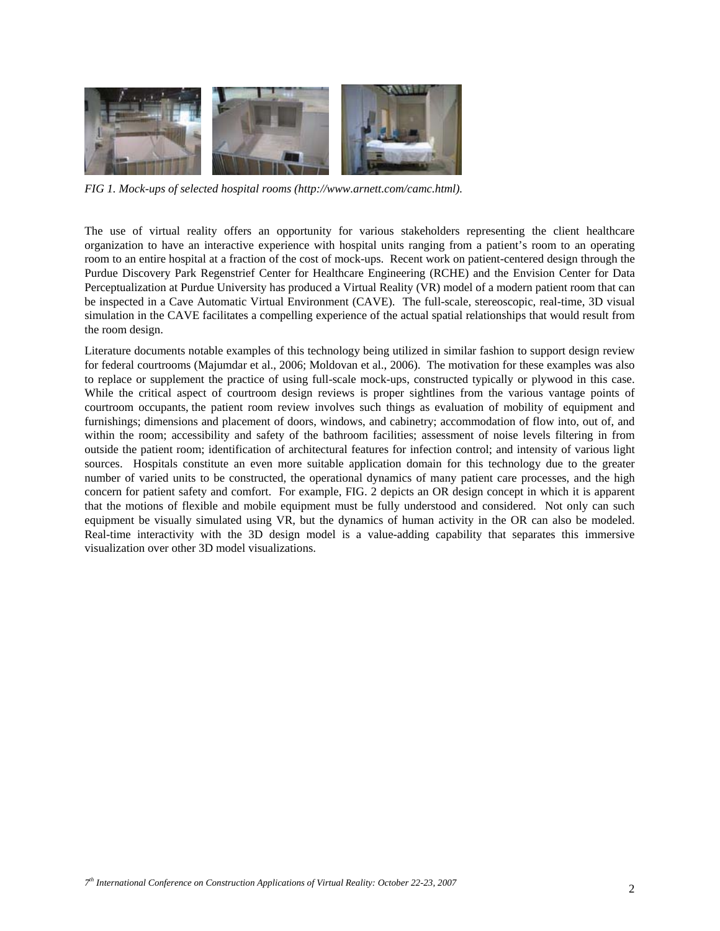

*FIG 1. Mock-ups of selected hospital rooms (http://www.arnett.com/camc.html).* 

The use of virtual reality offers an opportunity for various stakeholders representing the client healthcare organization to have an interactive experience with hospital units ranging from a patient's room to an operating room to an entire hospital at a fraction of the cost of mock-ups. Recent work on patient-centered design through the Purdue Discovery Park Regenstrief Center for Healthcare Engineering (RCHE) and the Envision Center for Data Perceptualization at Purdue University has produced a Virtual Reality (VR) model of a modern patient room that can be inspected in a Cave Automatic Virtual Environment (CAVE). The full-scale, stereoscopic, real-time, 3D visual simulation in the CAVE facilitates a compelling experience of the actual spatial relationships that would result from the room design.

Literature documents notable examples of this technology being utilized in similar fashion to support design review for federal courtrooms (Majumdar et al., 2006; Moldovan et al., 2006). The motivation for these examples was also to replace or supplement the practice of using full-scale mock-ups, constructed typically or plywood in this case. While the critical aspect of courtroom design reviews is proper sightlines from the various vantage points of courtroom occupants, the patient room review involves such things as evaluation of mobility of equipment and furnishings; dimensions and placement of doors, windows, and cabinetry; accommodation of flow into, out of, and within the room; accessibility and safety of the bathroom facilities; assessment of noise levels filtering in from outside the patient room; identification of architectural features for infection control; and intensity of various light sources. Hospitals constitute an even more suitable application domain for this technology due to the greater number of varied units to be constructed, the operational dynamics of many patient care processes, and the high concern for patient safety and comfort. For example, FIG. 2 depicts an OR design concept in which it is apparent that the motions of flexible and mobile equipment must be fully understood and considered. Not only can such equipment be visually simulated using VR, but the dynamics of human activity in the OR can also be modeled. Real-time interactivity with the 3D design model is a value-adding capability that separates this immersive visualization over other 3D model visualizations.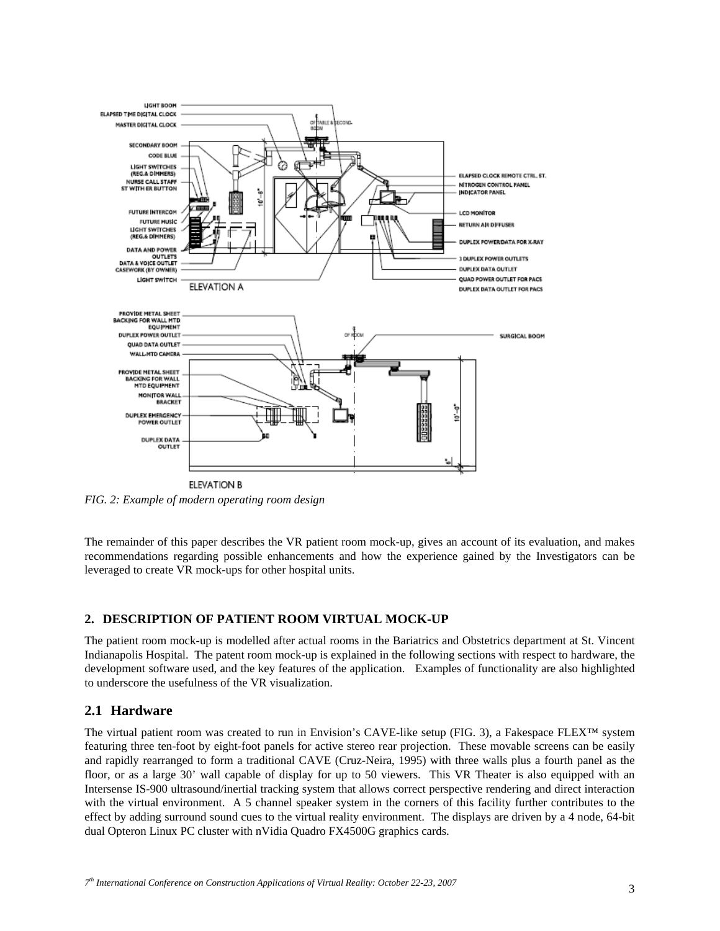

*FIG. 2: Example of modern operating room design* 

The remainder of this paper describes the VR patient room mock-up, gives an account of its evaluation, and makes recommendations regarding possible enhancements and how the experience gained by the Investigators can be leveraged to create VR mock-ups for other hospital units.

#### **2. DESCRIPTION OF PATIENT ROOM VIRTUAL MOCK-UP**

The patient room mock-up is modelled after actual rooms in the Bariatrics and Obstetrics department at St. Vincent Indianapolis Hospital. The patent room mock-up is explained in the following sections with respect to hardware, the development software used, and the key features of the application. Examples of functionality are also highlighted to underscore the usefulness of the VR visualization.

### **2.1 Hardware**

The virtual patient room was created to run in Envision's CAVE-like setup (FIG. 3), a Fakespace FLEX™ system featuring three ten-foot by eight-foot panels for active stereo rear projection. These movable screens can be easily and rapidly rearranged to form a traditional CAVE (Cruz-Neira, 1995) with three walls plus a fourth panel as the floor, or as a large 30' wall capable of display for up to 50 viewers. This VR Theater is also equipped with an Intersense IS-900 ultrasound/inertial tracking system that allows correct perspective rendering and direct interaction with the virtual environment. A 5 channel speaker system in the corners of this facility further contributes to the effect by adding surround sound cues to the virtual reality environment. The displays are driven by a 4 node, 64-bit dual Opteron Linux PC cluster with nVidia Quadro FX4500G graphics cards.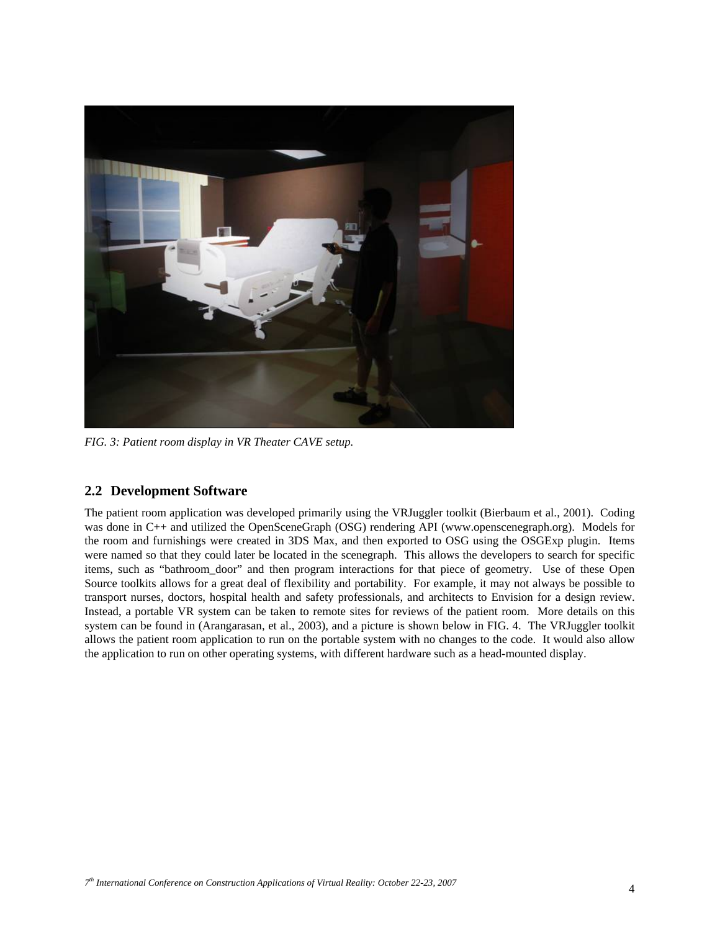

*FIG. 3: Patient room display in VR Theater CAVE setup.* 

### **2.2 Development Software**

The patient room application was developed primarily using the VRJuggler toolkit (Bierbaum et al., 2001). Coding was done in C++ and utilized the OpenSceneGraph (OSG) rendering API (www.openscenegraph.org). Models for the room and furnishings were created in 3DS Max, and then exported to OSG using the OSGExp plugin. Items were named so that they could later be located in the scenegraph. This allows the developers to search for specific items, such as "bathroom\_door" and then program interactions for that piece of geometry. Use of these Open Source toolkits allows for a great deal of flexibility and portability. For example, it may not always be possible to transport nurses, doctors, hospital health and safety professionals, and architects to Envision for a design review. Instead, a portable VR system can be taken to remote sites for reviews of the patient room. More details on this system can be found in (Arangarasan, et al., 2003), and a picture is shown below in FIG. 4. The VRJuggler toolkit allows the patient room application to run on the portable system with no changes to the code. It would also allow the application to run on other operating systems, with different hardware such as a head-mounted display.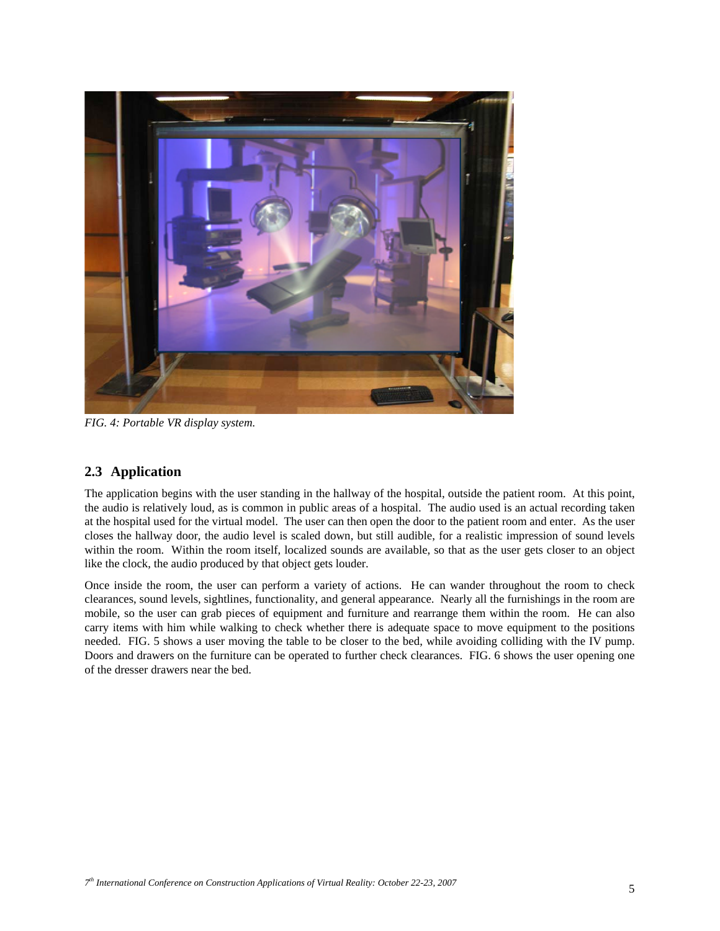

*FIG. 4: Portable VR display system.* 

# **2.3 Application**

The application begins with the user standing in the hallway of the hospital, outside the patient room. At this point, the audio is relatively loud, as is common in public areas of a hospital. The audio used is an actual recording taken at the hospital used for the virtual model. The user can then open the door to the patient room and enter. As the user closes the hallway door, the audio level is scaled down, but still audible, for a realistic impression of sound levels within the room. Within the room itself, localized sounds are available, so that as the user gets closer to an object like the clock, the audio produced by that object gets louder.

Once inside the room, the user can perform a variety of actions. He can wander throughout the room to check clearances, sound levels, sightlines, functionality, and general appearance. Nearly all the furnishings in the room are mobile, so the user can grab pieces of equipment and furniture and rearrange them within the room. He can also carry items with him while walking to check whether there is adequate space to move equipment to the positions needed. FIG. 5 shows a user moving the table to be closer to the bed, while avoiding colliding with the IV pump. Doors and drawers on the furniture can be operated to further check clearances. FIG. 6 shows the user opening one of the dresser drawers near the bed.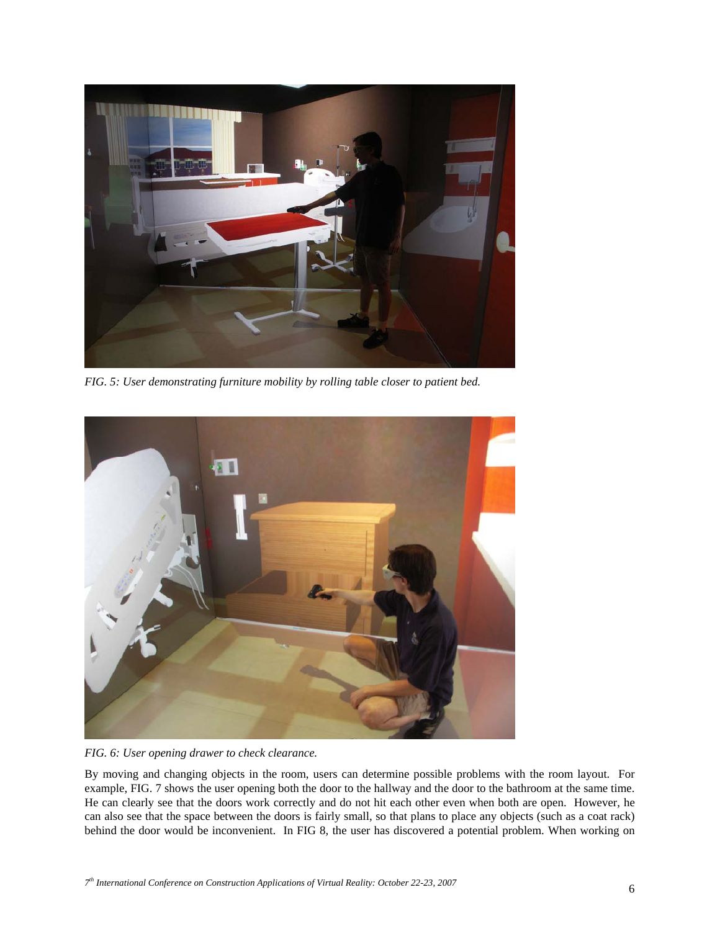

*FIG. 5: User demonstrating furniture mobility by rolling table closer to patient bed.* 



*FIG. 6: User opening drawer to check clearance.* 

By moving and changing objects in the room, users can determine possible problems with the room layout. For example, FIG. 7 shows the user opening both the door to the hallway and the door to the bathroom at the same time. He can clearly see that the doors work correctly and do not hit each other even when both are open. However, he can also see that the space between the doors is fairly small, so that plans to place any objects (such as a coat rack) behind the door would be inconvenient. In FIG 8, the user has discovered a potential problem. When working on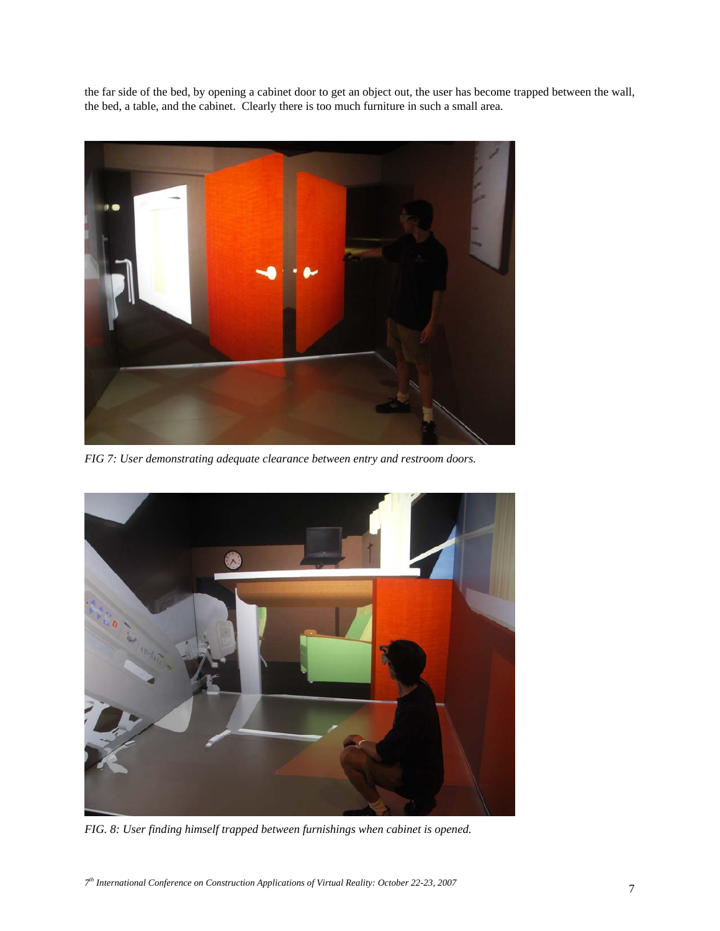the far side of the bed, by opening a cabinet door to get an object out, the user has become trapped between the wall, the bed, a table, and the cabinet. Clearly there is too much furniture in such a small area.



*FIG 7: User demonstrating adequate clearance between entry and restroom doors.* 



*FIG. 8: User finding himself trapped between furnishings when cabinet is opened.*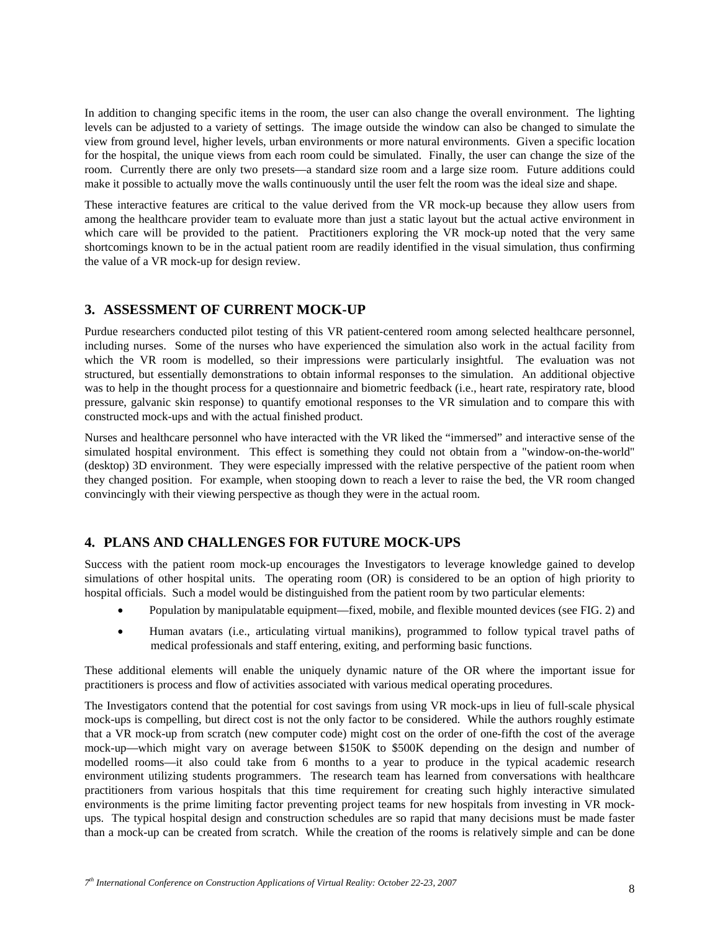In addition to changing specific items in the room, the user can also change the overall environment. The lighting levels can be adjusted to a variety of settings. The image outside the window can also be changed to simulate the view from ground level, higher levels, urban environments or more natural environments. Given a specific location for the hospital, the unique views from each room could be simulated. Finally, the user can change the size of the room. Currently there are only two presets—a standard size room and a large size room. Future additions could make it possible to actually move the walls continuously until the user felt the room was the ideal size and shape.

These interactive features are critical to the value derived from the VR mock-up because they allow users from among the healthcare provider team to evaluate more than just a static layout but the actual active environment in which care will be provided to the patient. Practitioners exploring the VR mock-up noted that the very same shortcomings known to be in the actual patient room are readily identified in the visual simulation, thus confirming the value of a VR mock-up for design review.

### **3. ASSESSMENT OF CURRENT MOCK-UP**

Purdue researchers conducted pilot testing of this VR patient-centered room among selected healthcare personnel, including nurses. Some of the nurses who have experienced the simulation also work in the actual facility from which the VR room is modelled, so their impressions were particularly insightful. The evaluation was not structured, but essentially demonstrations to obtain informal responses to the simulation. An additional objective was to help in the thought process for a questionnaire and biometric feedback (i.e., heart rate, respiratory rate, blood pressure, galvanic skin response) to quantify emotional responses to the VR simulation and to compare this with constructed mock-ups and with the actual finished product.

Nurses and healthcare personnel who have interacted with the VR liked the "immersed" and interactive sense of the simulated hospital environment. This effect is something they could not obtain from a "window-on-the-world" (desktop) 3D environment. They were especially impressed with the relative perspective of the patient room when they changed position. For example, when stooping down to reach a lever to raise the bed, the VR room changed convincingly with their viewing perspective as though they were in the actual room.

## **4. PLANS AND CHALLENGES FOR FUTURE MOCK-UPS**

Success with the patient room mock-up encourages the Investigators to leverage knowledge gained to develop simulations of other hospital units. The operating room (OR) is considered to be an option of high priority to hospital officials. Such a model would be distinguished from the patient room by two particular elements:

- Population by manipulatable equipment—fixed, mobile, and flexible mounted devices (see FIG. 2) and
- Human avatars (i.e., articulating virtual manikins), programmed to follow typical travel paths of medical professionals and staff entering, exiting, and performing basic functions.

These additional elements will enable the uniquely dynamic nature of the OR where the important issue for practitioners is process and flow of activities associated with various medical operating procedures.

The Investigators contend that the potential for cost savings from using VR mock-ups in lieu of full-scale physical mock-ups is compelling, but direct cost is not the only factor to be considered. While the authors roughly estimate that a VR mock-up from scratch (new computer code) might cost on the order of one-fifth the cost of the average mock-up—which might vary on average between \$150K to \$500K depending on the design and number of modelled rooms—it also could take from 6 months to a year to produce in the typical academic research environment utilizing students programmers. The research team has learned from conversations with healthcare practitioners from various hospitals that this time requirement for creating such highly interactive simulated environments is the prime limiting factor preventing project teams for new hospitals from investing in VR mockups. The typical hospital design and construction schedules are so rapid that many decisions must be made faster than a mock-up can be created from scratch. While the creation of the rooms is relatively simple and can be done